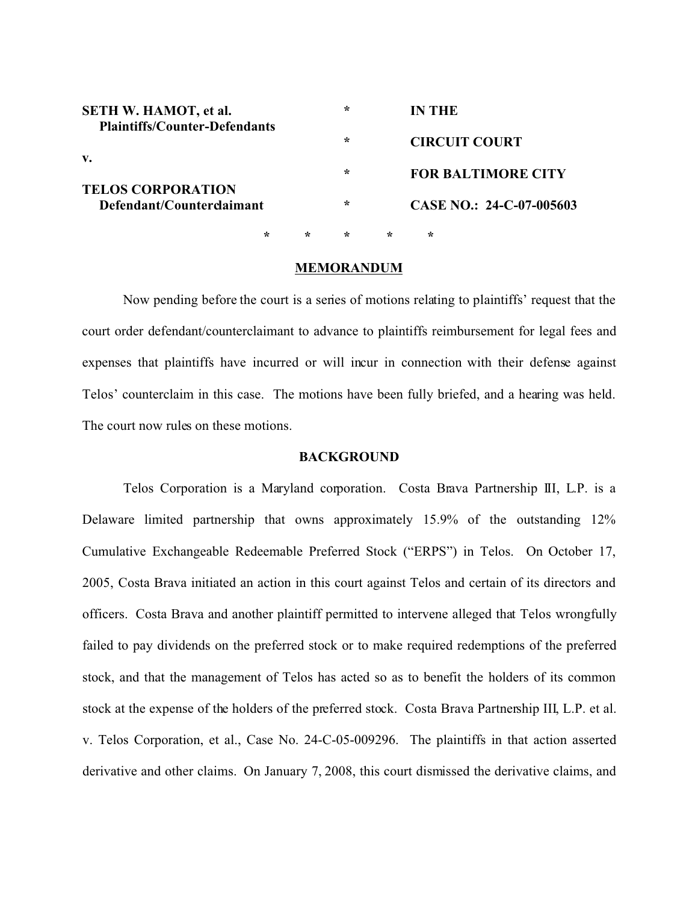| <b>SETH W. HAMOT, et al.</b><br><b>Plaintiffs/Counter-Defendants</b><br>v.<br><b>TELOS CORPORATION</b><br>Defendant/Counterclaimant |        |         | ∗ |                          | IN THE                    |
|-------------------------------------------------------------------------------------------------------------------------------------|--------|---------|---|--------------------------|---------------------------|
|                                                                                                                                     | $\ast$ |         |   | <b>CIRCUIT COURT</b>     |                           |
|                                                                                                                                     |        |         | ∗ |                          | <b>FOR BALTIMORE CITY</b> |
|                                                                                                                                     |        | ∗       |   | CASE NO.: 24-C-07-005603 |                           |
|                                                                                                                                     | ÷      | $\star$ | ∗ | ÷                        | $\star$                   |

#### **MEMORANDUM**

Now pending before the court is a series of motions relating to plaintiffs' request that the court order defendant/counterclaimant to advance to plaintiffs reimbursement for legal fees and expenses that plaintiffs have incurred or will incur in connection with their defense against Telos' counterclaim in this case. The motions have been fully briefed, and a hearing was held. The court now rules on these motions.

## **BACKGROUND**

Telos Corporation is a Maryland corporation. Costa Brava Partnership III, L.P. is a Delaware limited partnership that owns approximately 15.9% of the outstanding 12% Cumulative Exchangeable Redeemable Preferred Stock ("ERPS") in Telos. On October 17, 2005, Costa Brava initiated an action in this court against Telos and certain of its directors and officers. Costa Brava and another plaintiff permitted to intervene alleged that Telos wrongfully failed to pay dividends on the preferred stock or to make required redemptions of the preferred stock, and that the management of Telos has acted so as to benefit the holders of its common stock at the expense of the holders of the preferred stock. Costa Brava Partnership III, L.P. et al. v. Telos Corporation, et al., Case No. 24-C-05-009296. The plaintiffs in that action asserted derivative and other claims. On January 7, 2008, this court dismissed the derivative claims, and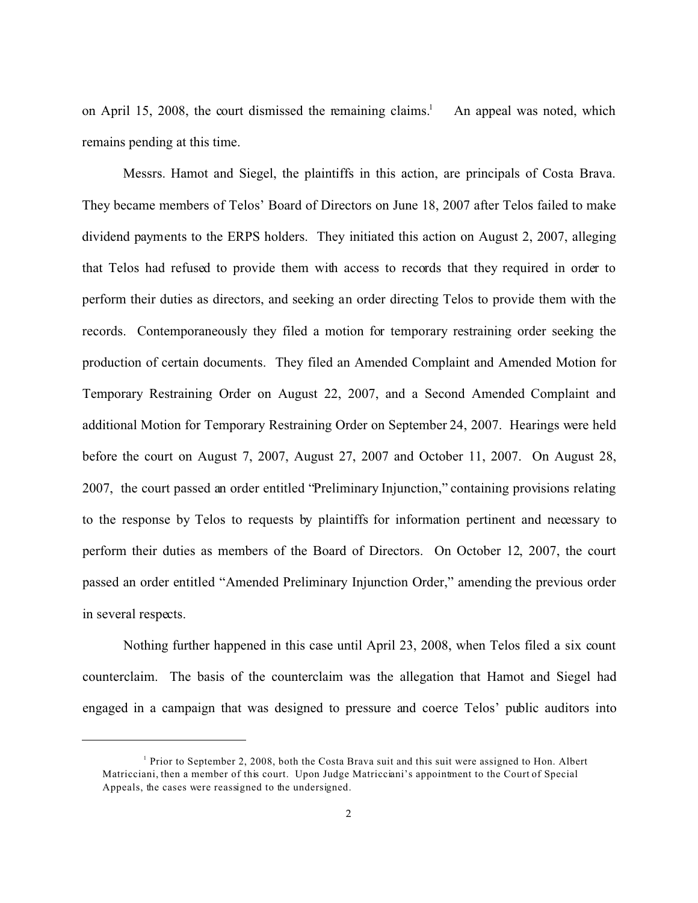on April 15, 2008, the court dismissed the remaining claims.<sup>1</sup> An appeal was noted, which remains pending at this time.

Messrs. Hamot and Siegel, the plaintiffs in this action, are principals of Costa Brava. They became members of Telos' Board of Directors on June 18, 2007 after Telos failed to make dividend payments to the ERPS holders. They initiated this action on August 2, 2007, alleging that Telos had refused to provide them with access to records that they required in order to perform their duties as directors, and seeking an order directing Telos to provide them with the records. Contemporaneously they filed a motion for temporary restraining order seeking the production of certain documents. They filed an Amended Complaint and Amended Motion for Temporary Restraining Order on August 22, 2007, and a Second Amended Complaint and additional Motion for Temporary Restraining Order on September 24, 2007. Hearings were held before the court on August 7, 2007, August 27, 2007 and October 11, 2007. On August 28, 2007, the court passed an order entitled "Preliminary Injunction," containing provisions relating to the response by Telos to requests by plaintiffs for information pertinent and necessary to perform their duties as members of the Board of Directors. On October 12, 2007, the court passed an order entitled "Amended Preliminary Injunction Order," amending the previous order in several respects.

Nothing further happened in this case until April 23, 2008, when Telos filed a six count counterclaim. The basis of the counterclaim was the allegation that Hamot and Siegel had engaged in a campaign that was designed to pressure and coerce Telos' public auditors into

<sup>&</sup>lt;sup>1</sup> Prior to September 2, 2008, both the Costa Brava suit and this suit were assigned to Hon. Albert Matricciani, then a member of this court. Upon Judge Matricciani's appointment to the Court of Special Appeals, the cases were reassigned to the undersigned.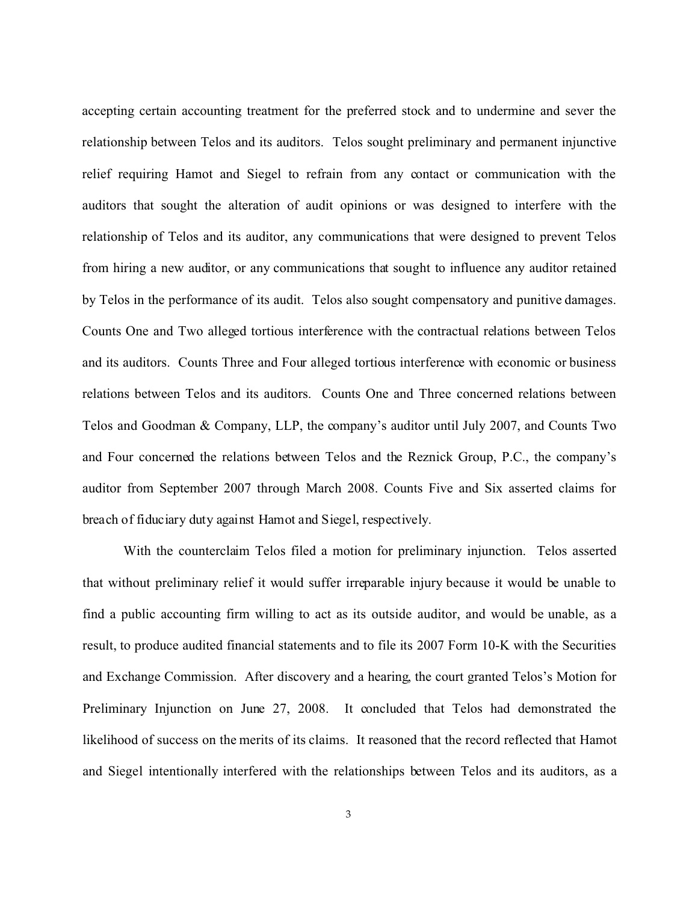accepting certain accounting treatment for the preferred stock and to undermine and sever the relationship between Telos and its auditors. Telos sought preliminary and permanent injunctive relief requiring Hamot and Siegel to refrain from any contact or communication with the auditors that sought the alteration of audit opinions or was designed to interfere with the relationship of Telos and its auditor, any communications that were designed to prevent Telos from hiring a new auditor, or any communications that sought to influence any auditor retained by Telos in the performance of its audit. Telos also sought compensatory and punitive damages. Counts One and Two alleged tortious interference with the contractual relations between Telos and its auditors. Counts Three and Four alleged tortious interference with economic or business relations between Telos and its auditors. Counts One and Three concerned relations between Telos and Goodman & Company, LLP, the company's auditor until July 2007, and Counts Two and Four concerned the relations between Telos and the Reznick Group, P.C., the company's auditor from September 2007 through March 2008. Counts Five and Six asserted claims for breach of fiduciary duty against Hamot and Siegel, respectively.

With the counterclaim Telos filed a motion for preliminary injunction. Telos asserted that without preliminary relief it would suffer irreparable injury because it would be unable to find a public accounting firm willing to act as its outside auditor, and would be unable, as a result, to produce audited financial statements and to file its 2007 Form 10-K with the Securities and Exchange Commission. After discovery and a hearing, the court granted Telos's Motion for Preliminary Injunction on June 27, 2008. It concluded that Telos had demonstrated the likelihood of success on the merits of its claims. It reasoned that the record reflected that Hamot and Siegel intentionally interfered with the relationships between Telos and its auditors, as a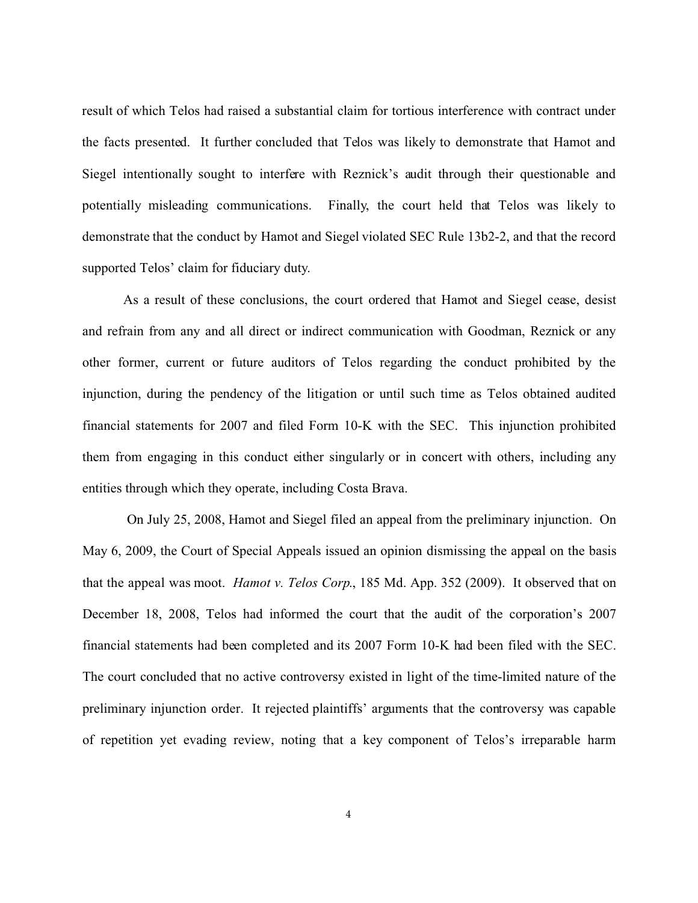result of which Telos had raised a substantial claim for tortious interference with contract under the facts presented. It further concluded that Telos was likely to demonstrate that Hamot and Siegel intentionally sought to interfere with Reznick's audit through their questionable and potentially misleading communications. Finally, the court held that Telos was likely to demonstrate that the conduct by Hamot and Siegel violated SEC Rule 13b2-2, and that the record supported Telos' claim for fiduciary duty.

As a result of these conclusions, the court ordered that Hamot and Siegel cease, desist and refrain from any and all direct or indirect communication with Goodman, Reznick or any other former, current or future auditors of Telos regarding the conduct prohibited by the injunction, during the pendency of the litigation or until such time as Telos obtained audited financial statements for 2007 and filed Form 10-K with the SEC. This injunction prohibited them from engaging in this conduct either singularly or in concert with others, including any entities through which they operate, including Costa Brava.

 On July 25, 2008, Hamot and Siegel filed an appeal from the preliminary injunction. On May 6, 2009, the Court of Special Appeals issued an opinion dismissing the appeal on the basis that the appeal was moot. *Hamot v. Telos Corp*., 185 Md. App. 352 (2009). It observed that on December 18, 2008, Telos had informed the court that the audit of the corporation's 2007 financial statements had been completed and its 2007 Form 10-K had been filed with the SEC. The court concluded that no active controversy existed in light of the time-limited nature of the preliminary injunction order. It rejected plaintiffs' arguments that the controversy was capable of repetition yet evading review, noting that a key component of Telos's irreparable harm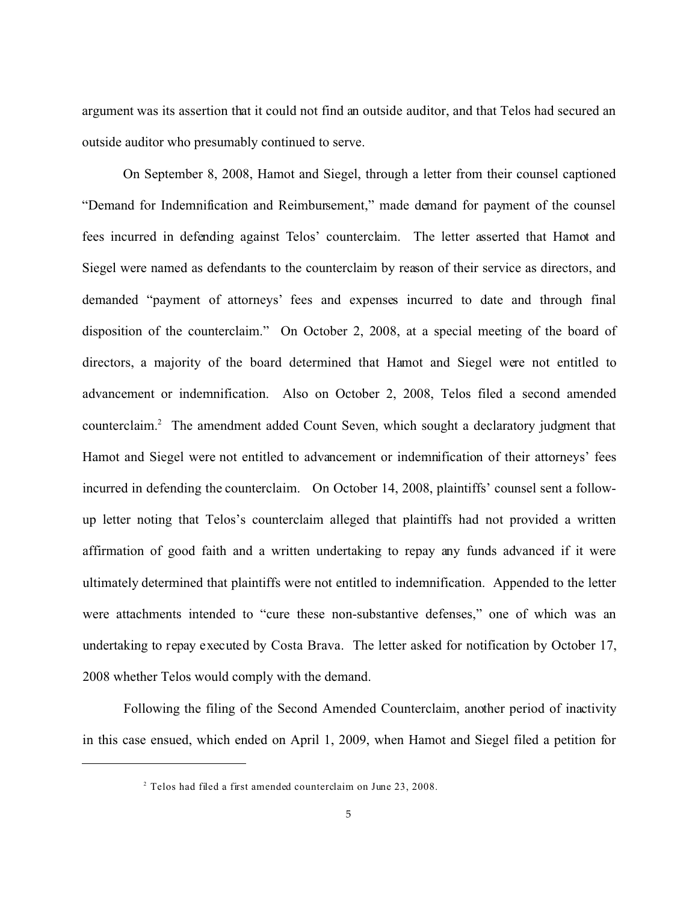argument was its assertion that it could not find an outside auditor, and that Telos had secured an outside auditor who presumably continued to serve.

On September 8, 2008, Hamot and Siegel, through a letter from their counsel captioned "Demand for Indemnification and Reimbursement," made demand for payment of the counsel fees incurred in defending against Telos' counterclaim. The letter asserted that Hamot and Siegel were named as defendants to the counterclaim by reason of their service as directors, and demanded "payment of attorneys' fees and expenses incurred to date and through final disposition of the counterclaim." On October 2, 2008, at a special meeting of the board of directors, a majority of the board determined that Hamot and Siegel were not entitled to advancement or indemnification. Also on October 2, 2008, Telos filed a second amended counterclaim.<sup>2</sup> The amendment added Count Seven, which sought a declaratory judgment that Hamot and Siegel were not entitled to advancement or indemnification of their attorneys' fees incurred in defending the counterclaim. On October 14, 2008, plaintiffs' counsel sent a followup letter noting that Telos's counterclaim alleged that plaintiffs had not provided a written affirmation of good faith and a written undertaking to repay any funds advanced if it were ultimately determined that plaintiffs were not entitled to indemnification. Appended to the letter were attachments intended to "cure these non-substantive defenses," one of which was an undertaking to repay executed by Costa Brava. The letter asked for notification by October 17, 2008 whether Telos would comply with the demand.

Following the filing of the Second Amended Counterclaim, another period of inactivity in this case ensued, which ended on April 1, 2009, when Hamot and Siegel filed a petition for

 $2$  Telos had filed a first amended counterclaim on June 23, 2008.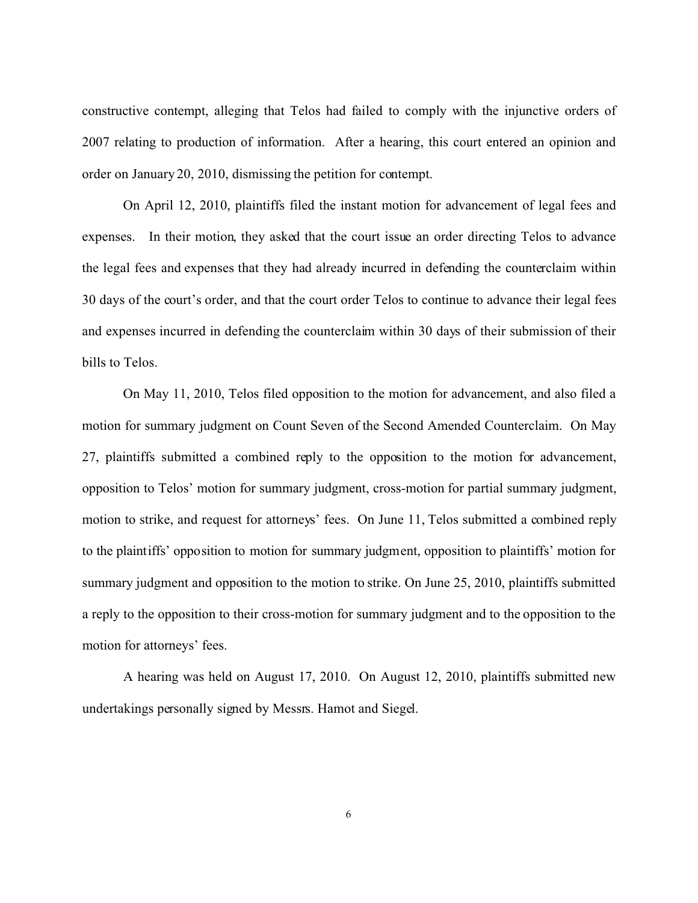constructive contempt, alleging that Telos had failed to comply with the injunctive orders of 2007 relating to production of information. After a hearing, this court entered an opinion and order on January 20, 2010, dismissing the petition for contempt.

On April 12, 2010, plaintiffs filed the instant motion for advancement of legal fees and expenses. In their motion, they asked that the court issue an order directing Telos to advance the legal fees and expenses that they had already incurred in defending the counterclaim within 30 days of the court's order, and that the court order Telos to continue to advance their legal fees and expenses incurred in defending the counterclaim within 30 days of their submission of their bills to Telos.

On May 11, 2010, Telos filed opposition to the motion for advancement, and also filed a motion for summary judgment on Count Seven of the Second Amended Counterclaim. On May 27, plaintiffs submitted a combined reply to the opposition to the motion for advancement, opposition to Telos' motion for summary judgment, cross-motion for partial summary judgment, motion to strike, and request for attorneys' fees. On June 11, Telos submitted a combined reply to the plaintiffs' opposition to motion for summary judgment, opposition to plaintiffs' motion for summary judgment and opposition to the motion to strike. On June 25, 2010, plaintiffs submitted a reply to the opposition to their cross-motion for summary judgment and to the opposition to the motion for attorneys' fees.

A hearing was held on August 17, 2010. On August 12, 2010, plaintiffs submitted new undertakings personally signed by Messrs. Hamot and Siegel.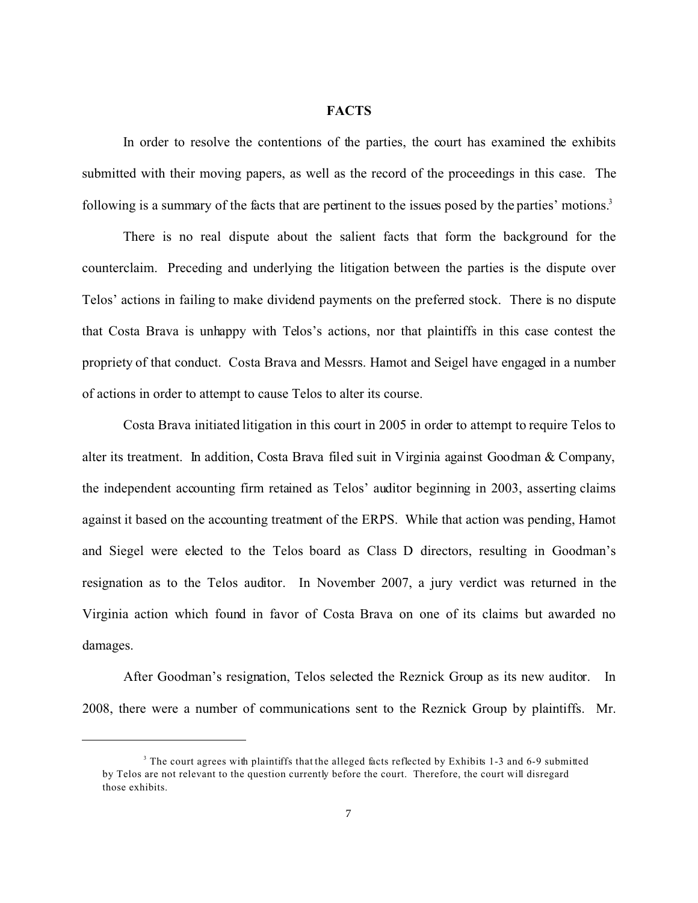#### **FACTS**

In order to resolve the contentions of the parties, the court has examined the exhibits submitted with their moving papers, as well as the record of the proceedings in this case. The following is a summary of the facts that are pertinent to the issues posed by the parties' motions.<sup>3</sup>

There is no real dispute about the salient facts that form the background for the counterclaim. Preceding and underlying the litigation between the parties is the dispute over Telos' actions in failing to make dividend payments on the preferred stock. There is no dispute that Costa Brava is unhappy with Telos's actions, nor that plaintiffs in this case contest the propriety of that conduct. Costa Brava and Messrs. Hamot and Seigel have engaged in a number of actions in order to attempt to cause Telos to alter its course.

Costa Brava initiated litigation in this court in 2005 in order to attempt to require Telos to alter its treatment. In addition, Costa Brava filed suit in Virginia against Goodman & Company, the independent accounting firm retained as Telos' auditor beginning in 2003, asserting claims against it based on the accounting treatment of the ERPS. While that action was pending, Hamot and Siegel were elected to the Telos board as Class D directors, resulting in Goodman's resignation as to the Telos auditor. In November 2007, a jury verdict was returned in the Virginia action which found in favor of Costa Brava on one of its claims but awarded no damages.

After Goodman's resignation, Telos selected the Reznick Group as its new auditor. In 2008, there were a number of communications sent to the Reznick Group by plaintiffs. Mr.

<sup>&</sup>lt;sup>3</sup> The court agrees with plaintiffs that the alleged facts reflected by Exhibits 1-3 and 6-9 submitted by Telos are not relevant to the question currently before the court. Therefore, the court will disregard those exhibits.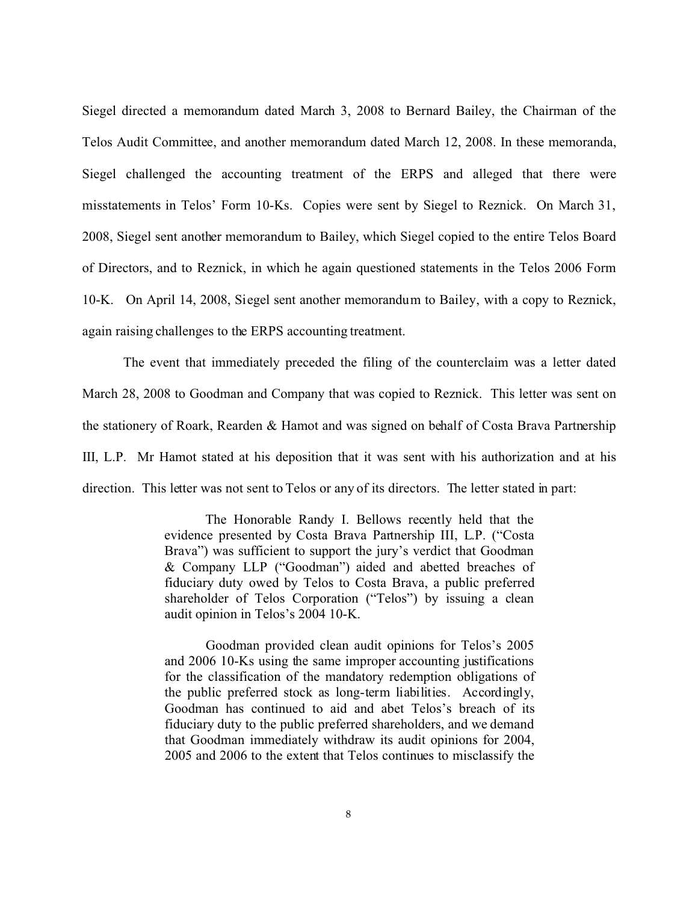Siegel directed a memorandum dated March 3, 2008 to Bernard Bailey, the Chairman of the Telos Audit Committee, and another memorandum dated March 12, 2008. In these memoranda, Siegel challenged the accounting treatment of the ERPS and alleged that there were misstatements in Telos' Form 10-Ks. Copies were sent by Siegel to Reznick. On March 31, 2008, Siegel sent another memorandum to Bailey, which Siegel copied to the entire Telos Board of Directors, and to Reznick, in which he again questioned statements in the Telos 2006 Form 10-K. On April 14, 2008, Siegel sent another memorandum to Bailey, with a copy to Reznick, again raising challenges to the ERPS accounting treatment.

The event that immediately preceded the filing of the counterclaim was a letter dated March 28, 2008 to Goodman and Company that was copied to Reznick. This letter was sent on the stationery of Roark, Rearden & Hamot and was signed on behalf of Costa Brava Partnership III, L.P. Mr Hamot stated at his deposition that it was sent with his authorization and at his direction. This letter was not sent to Telos or any of its directors. The letter stated in part:

> The Honorable Randy I. Bellows recently held that the evidence presented by Costa Brava Partnership III, L.P. ("Costa Brava") was sufficient to support the jury's verdict that Goodman & Company LLP ("Goodman") aided and abetted breaches of fiduciary duty owed by Telos to Costa Brava, a public preferred shareholder of Telos Corporation ("Telos") by issuing a clean audit opinion in Telos's 2004 10-K.

> Goodman provided clean audit opinions for Telos's 2005 and 2006 10-Ks using the same improper accounting justifications for the classification of the mandatory redemption obligations of the public preferred stock as long-term liabilities. Accordingly, Goodman has continued to aid and abet Telos's breach of its fiduciary duty to the public preferred shareholders, and we demand that Goodman immediately withdraw its audit opinions for 2004, 2005 and 2006 to the extent that Telos continues to misclassify the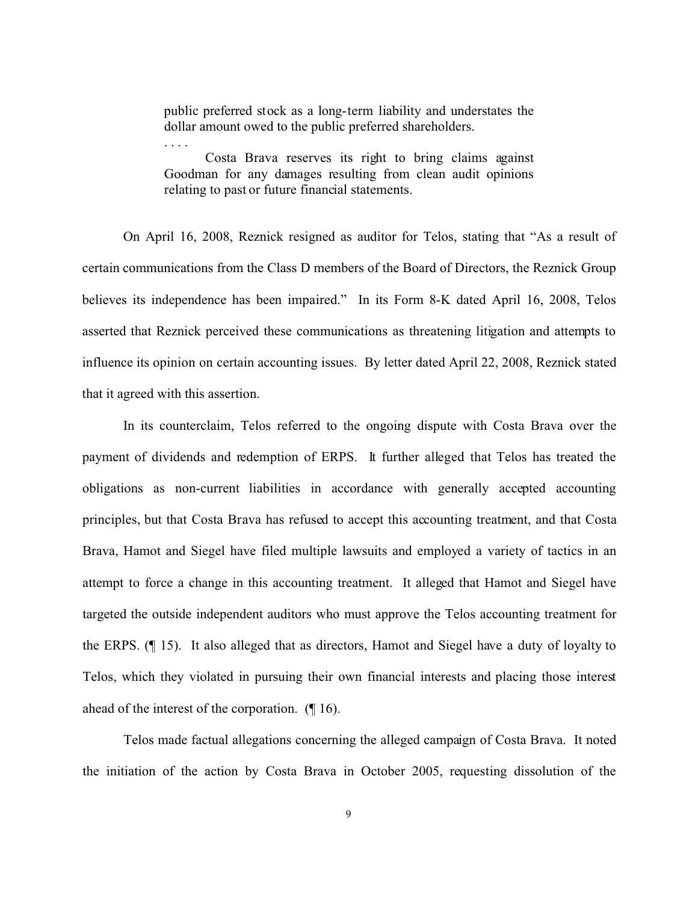public preferred stock as a long-term liability and understates the dollar amount owed to the public preferred shareholders.

. . . .

Costa Brava reserves its right to bring claims against Goodman for any damages resulting from clean audit opinions relating to past or future financial statements.

On April 16, 2008, Reznick resigned as auditor for Telos, stating that "As a result of certain communications from the Class D members of the Board of Directors, the Reznick Group believes its independence has been impaired." In its Form 8-K dated April 16, 2008, Telos asserted that Reznick perceived these communications as threatening litigation and attempts to influence its opinion on certain accounting issues. By letter dated April 22, 2008, Reznick stated that it agreed with this assertion.

In its counterclaim, Telos referred to the ongoing dispute with Costa Brava over the payment of dividends and redemption of ERPS. It further alleged that Telos has treated the obligations as non-current liabilities in accordance with generally accepted accounting principles, but that Costa Brava has refused to accept this accounting treatment, and that Costa Brava, Hamot and Siegel have filed multiple lawsuits and employed a variety of tactics in an attempt to force a change in this accounting treatment. It alleged that Hamot and Siegel have targeted the outside independent auditors who must approve the Telos accounting treatment for the ERPS. (¶ 15). It also alleged that as directors, Hamot and Siegel have a duty of loyalty to Telos, which they violated in pursuing their own financial interests and placing those interest ahead of the interest of the corporation. (¶ 16).

Telos made factual allegations concerning the alleged campaign of Costa Brava. It noted the initiation of the action by Costa Brava in October 2005, requesting dissolution of the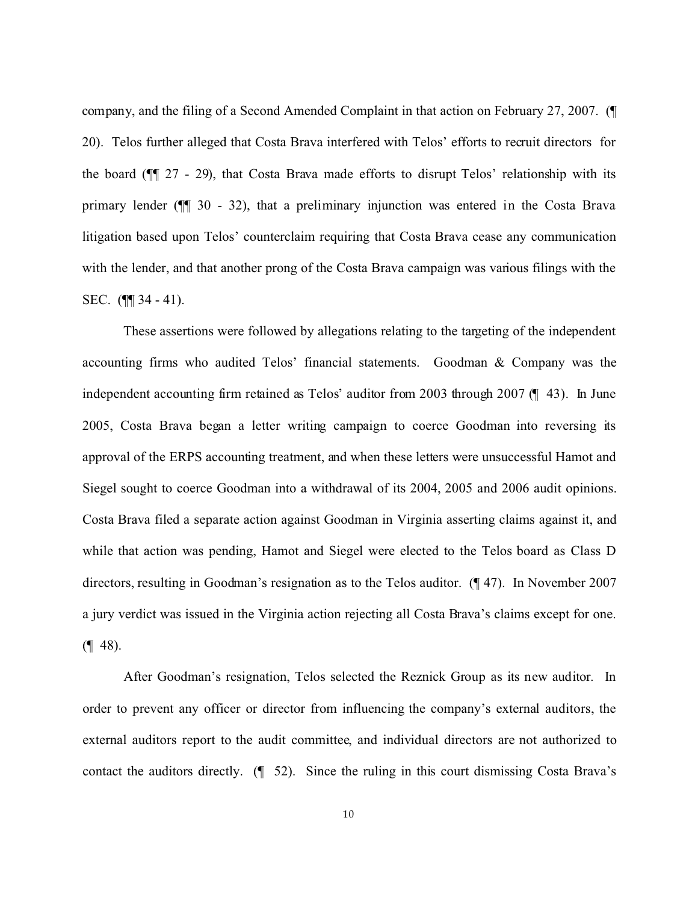company, and the filing of a Second Amended Complaint in that action on February 27, 2007. (¶ 20). Telos further alleged that Costa Brava interfered with Telos' efforts to recruit directors for the board (¶¶ 27 - 29), that Costa Brava made efforts to disrupt Telos' relationship with its primary lender (¶¶ 30 - 32), that a preliminary injunction was entered in the Costa Brava litigation based upon Telos' counterclaim requiring that Costa Brava cease any communication with the lender, and that another prong of the Costa Brava campaign was various filings with the SEC. (¶¶ 34 - 41).

These assertions were followed by allegations relating to the targeting of the independent accounting firms who audited Telos' financial statements. Goodman & Company was the independent accounting firm retained as Telos' auditor from 2003 through 2007 (¶ 43). In June 2005, Costa Brava began a letter writing campaign to coerce Goodman into reversing its approval of the ERPS accounting treatment, and when these letters were unsuccessful Hamot and Siegel sought to coerce Goodman into a withdrawal of its 2004, 2005 and 2006 audit opinions. Costa Brava filed a separate action against Goodman in Virginia asserting claims against it, and while that action was pending, Hamot and Siegel were elected to the Telos board as Class D directors, resulting in Goodman's resignation as to the Telos auditor. (¶ 47). In November 2007 a jury verdict was issued in the Virginia action rejecting all Costa Brava's claims except for one.  $($ | 48).

After Goodman's resignation, Telos selected the Reznick Group as its new auditor. In order to prevent any officer or director from influencing the company's external auditors, the external auditors report to the audit committee, and individual directors are not authorized to contact the auditors directly. (¶ 52). Since the ruling in this court dismissing Costa Brava's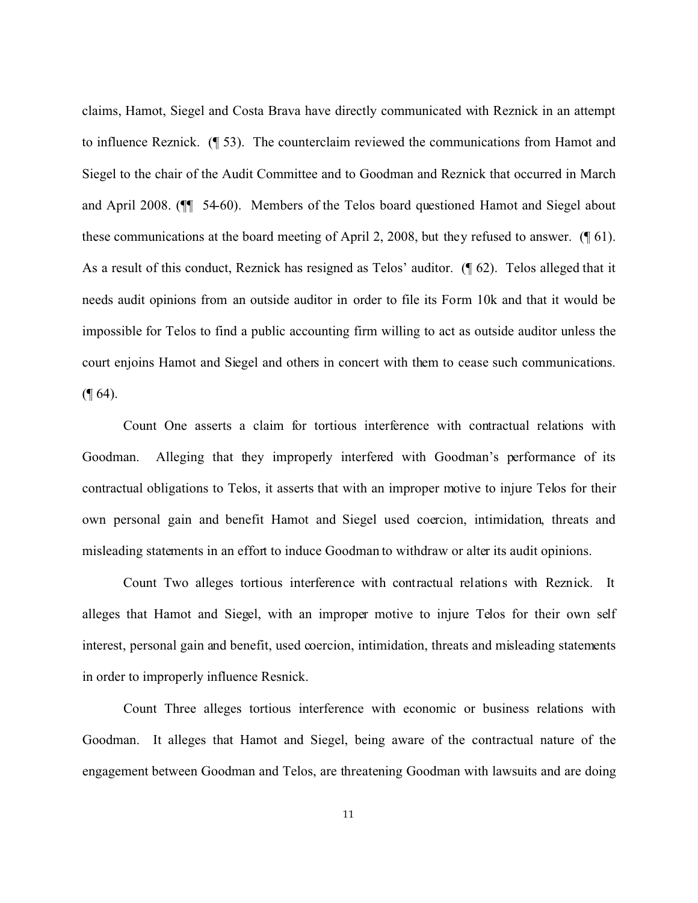claims, Hamot, Siegel and Costa Brava have directly communicated with Reznick in an attempt to influence Reznick. (¶ 53). The counterclaim reviewed the communications from Hamot and Siegel to the chair of the Audit Committee and to Goodman and Reznick that occurred in March and April 2008. (¶¶ 54-60). Members of the Telos board questioned Hamot and Siegel about these communications at the board meeting of April 2, 2008, but they refused to answer. (¶ 61). As a result of this conduct, Reznick has resigned as Telos' auditor. (¶ 62). Telos alleged that it needs audit opinions from an outside auditor in order to file its Form 10k and that it would be impossible for Telos to find a public accounting firm willing to act as outside auditor unless the court enjoins Hamot and Siegel and others in concert with them to cease such communications.  $($ | 64).

Count One asserts a claim for tortious interference with contractual relations with Goodman. Alleging that they improperly interfered with Goodman's performance of its contractual obligations to Telos, it asserts that with an improper motive to injure Telos for their own personal gain and benefit Hamot and Siegel used coercion, intimidation, threats and misleading statements in an effort to induce Goodman to withdraw or alter its audit opinions.

Count Two alleges tortious interference with contractual relations with Reznick. It alleges that Hamot and Siegel, with an improper motive to injure Telos for their own self interest, personal gain and benefit, used coercion, intimidation, threats and misleading statements in order to improperly influence Resnick.

Count Three alleges tortious interference with economic or business relations with Goodman. It alleges that Hamot and Siegel, being aware of the contractual nature of the engagement between Goodman and Telos, are threatening Goodman with lawsuits and are doing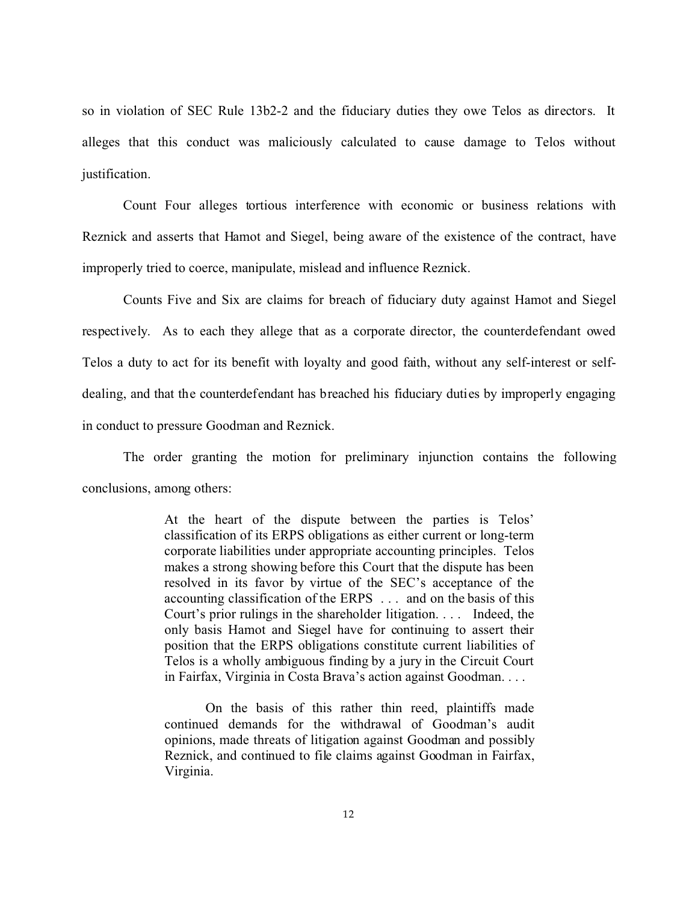so in violation of SEC Rule 13b2-2 and the fiduciary duties they owe Telos as directors. It alleges that this conduct was maliciously calculated to cause damage to Telos without justification.

Count Four alleges tortious interference with economic or business relations with Reznick and asserts that Hamot and Siegel, being aware of the existence of the contract, have improperly tried to coerce, manipulate, mislead and influence Reznick.

Counts Five and Six are claims for breach of fiduciary duty against Hamot and Siegel respectively. As to each they allege that as a corporate director, the counterdefendant owed Telos a duty to act for its benefit with loyalty and good faith, without any self-interest or selfdealing, and that the counterdefendant has breached his fiduciary duties by improperly engaging in conduct to pressure Goodman and Reznick.

The order granting the motion for preliminary injunction contains the following conclusions, among others:

> At the heart of the dispute between the parties is Telos' classification of its ERPS obligations as either current or long-term corporate liabilities under appropriate accounting principles. Telos makes a strong showing before this Court that the dispute has been resolved in its favor by virtue of the SEC's acceptance of the accounting classification of the ERPS . . . and on the basis of this Court's prior rulings in the shareholder litigation. . . . Indeed, the only basis Hamot and Siegel have for continuing to assert their position that the ERPS obligations constitute current liabilities of Telos is a wholly ambiguous finding by a jury in the Circuit Court in Fairfax, Virginia in Costa Brava's action against Goodman. . . .

> On the basis of this rather thin reed, plaintiffs made continued demands for the withdrawal of Goodman's audit opinions, made threats of litigation against Goodman and possibly Reznick, and continued to file claims against Goodman in Fairfax, Virginia.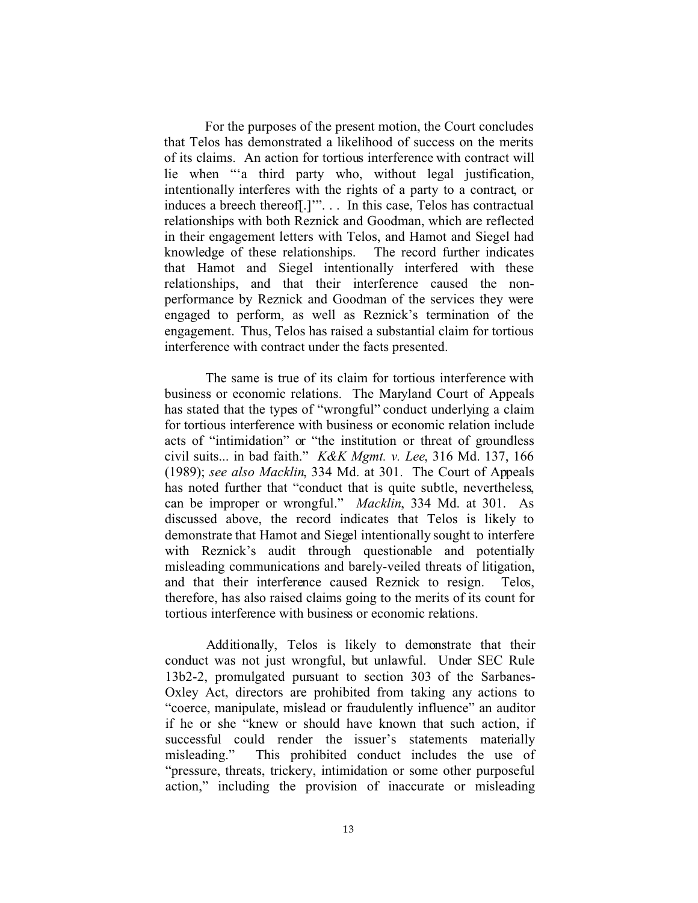For the purposes of the present motion, the Court concludes that Telos has demonstrated a likelihood of success on the merits of its claims. An action for tortious interference with contract will lie when "'a third party who, without legal justification, intentionally interferes with the rights of a party to a contract, or induces a breech thereof[.]'". . . In this case, Telos has contractual relationships with both Reznick and Goodman, which are reflected in their engagement letters with Telos, and Hamot and Siegel had knowledge of these relationships. The record further indicates that Hamot and Siegel intentionally interfered with these relationships, and that their interference caused the nonperformance by Reznick and Goodman of the services they were engaged to perform, as well as Reznick's termination of the engagement. Thus, Telos has raised a substantial claim for tortious interference with contract under the facts presented.

The same is true of its claim for tortious interference with business or economic relations. The Maryland Court of Appeals has stated that the types of "wrongful" conduct underlying a claim for tortious interference with business or economic relation include acts of "intimidation" or "the institution or threat of groundless civil suits... in bad faith." *K&K Mgmt. v. Lee*, 316 Md. 137, 166 (1989); *see also Macklin*, 334 Md. at 301. The Court of Appeals has noted further that "conduct that is quite subtle, nevertheless, can be improper or wrongful." *Macklin*, 334 Md. at 301. As discussed above, the record indicates that Telos is likely to demonstrate that Hamot and Siegel intentionally sought to interfere with Reznick's audit through questionable and potentially misleading communications and barely-veiled threats of litigation, and that their interference caused Reznick to resign. Telos, therefore, has also raised claims going to the merits of its count for tortious interference with business or economic relations.

Additionally, Telos is likely to demonstrate that their conduct was not just wrongful, but unlawful. Under SEC Rule 13b2-2, promulgated pursuant to section 303 of the Sarbanes-Oxley Act, directors are prohibited from taking any actions to "coerce, manipulate, mislead or fraudulently influence" an auditor if he or she "knew or should have known that such action, if successful could render the issuer's statements materially misleading." This prohibited conduct includes the use of "pressure, threats, trickery, intimidation or some other purposeful action," including the provision of inaccurate or misleading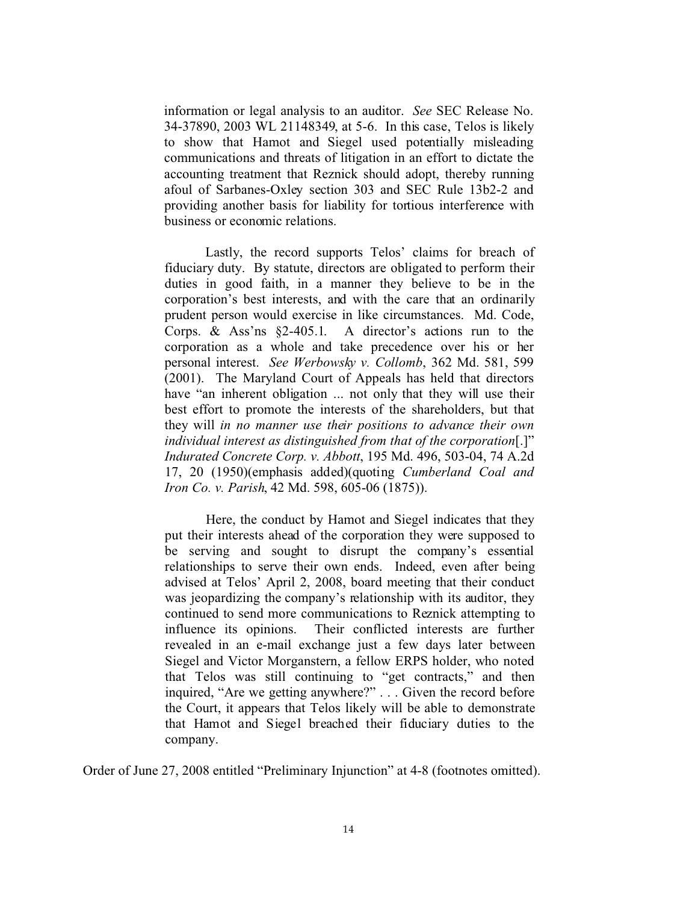information or legal analysis to an auditor. *See* SEC Release No. 34-37890, 2003 WL 21148349, at 5-6. In this case, Telos is likely to show that Hamot and Siegel used potentially misleading communications and threats of litigation in an effort to dictate the accounting treatment that Reznick should adopt, thereby running afoul of Sarbanes-Oxley section 303 and SEC Rule 13b2-2 and providing another basis for liability for tortious interference with business or economic relations.

Lastly, the record supports Telos' claims for breach of fiduciary duty. By statute, directors are obligated to perform their duties in good faith, in a manner they believe to be in the corporation's best interests, and with the care that an ordinarily prudent person would exercise in like circumstances. Md. Code, Corps. & Ass'ns §2-405.1. A director's actions run to the corporation as a whole and take precedence over his or her personal interest. *See Werbowsky v. Collomb*, 362 Md. 581, 599 (2001). The Maryland Court of Appeals has held that directors have "an inherent obligation ... not only that they will use their best effort to promote the interests of the shareholders, but that they will *in no manner use their positions to advance their own individual interest as distinguished from that of the corporation*[.]" *Indurated Concrete Corp. v. Abbott*, 195 Md. 496, 503-04, 74 A.2d 17, 20 (1950)(emphasis added)(quoting *Cumberland Coal and Iron Co. v. Parish*, 42 Md. 598, 605-06 (1875)).

Here, the conduct by Hamot and Siegel indicates that they put their interests ahead of the corporation they were supposed to be serving and sought to disrupt the company's essential relationships to serve their own ends. Indeed, even after being advised at Telos' April 2, 2008, board meeting that their conduct was jeopardizing the company's relationship with its auditor, they continued to send more communications to Reznick attempting to influence its opinions. Their conflicted interests are further revealed in an e-mail exchange just a few days later between Siegel and Victor Morganstern, a fellow ERPS holder, who noted that Telos was still continuing to "get contracts," and then inquired, "Are we getting anywhere?" . . . Given the record before the Court, it appears that Telos likely will be able to demonstrate that Hamot and Siegel breached their fiduciary duties to the company.

Order of June 27, 2008 entitled "Preliminary Injunction" at 4-8 (footnotes omitted).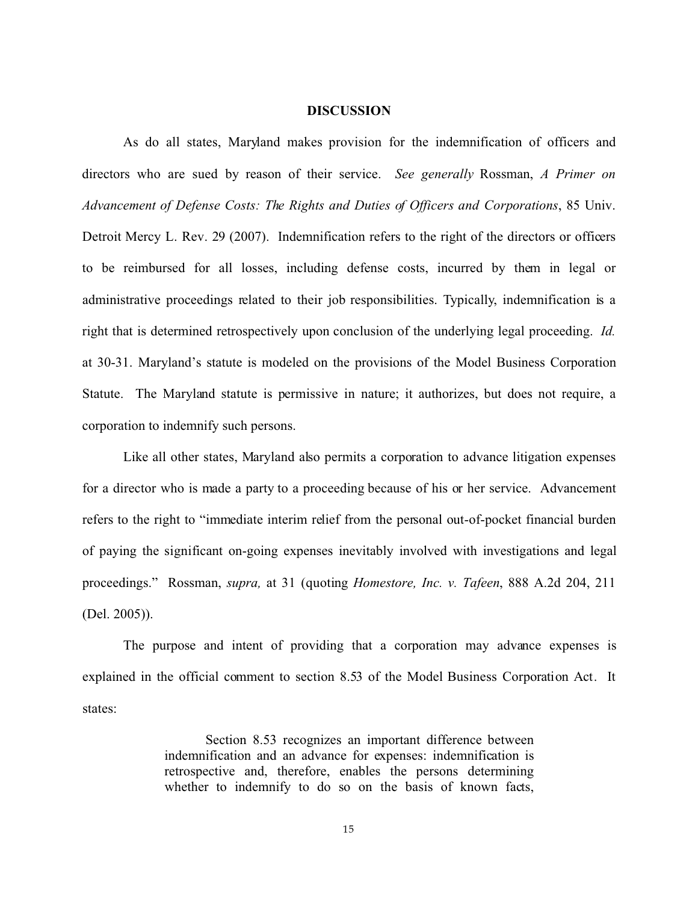#### **DISCUSSION**

As do all states, Maryland makes provision for the indemnification of officers and directors who are sued by reason of their service. *See generally* Rossman, *A Primer on Advancement of Defense Costs: The Rights and Duties of Officers and Corporations*, 85 Univ. Detroit Mercy L. Rev. 29 (2007). Indemnification refers to the right of the directors or officers to be reimbursed for all losses, including defense costs, incurred by them in legal or administrative proceedings related to their job responsibilities. Typically, indemnification is a right that is determined retrospectively upon conclusion of the underlying legal proceeding. *Id.* at 30-31. Maryland's statute is modeled on the provisions of the Model Business Corporation Statute. The Maryland statute is permissive in nature; it authorizes, but does not require, a corporation to indemnify such persons.

Like all other states, Maryland also permits a corporation to advance litigation expenses for a director who is made a party to a proceeding because of his or her service. Advancement refers to the right to "immediate interim relief from the personal out-of-pocket financial burden of paying the significant on-going expenses inevitably involved with investigations and legal proceedings." Rossman, *supra,* at 31 (quoting *Homestore, Inc. v. Tafeen*, 888 A.2d 204, 211 (Del. 2005)).

The purpose and intent of providing that a corporation may advance expenses is explained in the official comment to section 8.53 of the Model Business Corporation Act. It states:

> Section 8.53 recognizes an important difference between indemnification and an advance for expenses: indemnification is retrospective and, therefore, enables the persons determining whether to indemnify to do so on the basis of known facts,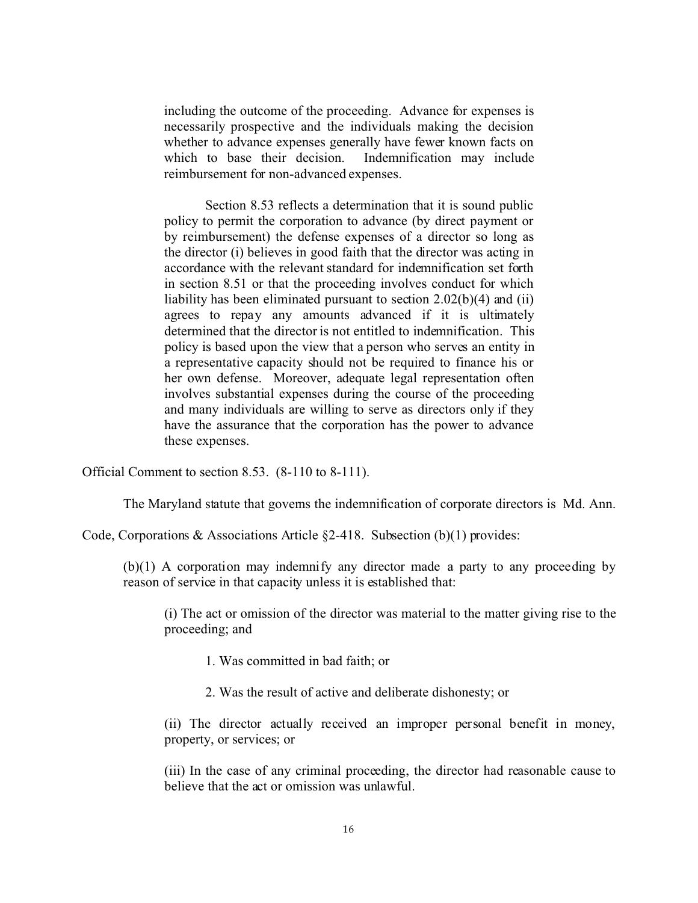including the outcome of the proceeding. Advance for expenses is necessarily prospective and the individuals making the decision whether to advance expenses generally have fewer known facts on which to base their decision. Indemnification may include reimbursement for non-advanced expenses.

Section 8.53 reflects a determination that it is sound public policy to permit the corporation to advance (by direct payment or by reimbursement) the defense expenses of a director so long as the director (i) believes in good faith that the director was acting in accordance with the relevant standard for indemnification set forth in section 8.51 or that the proceeding involves conduct for which liability has been eliminated pursuant to section 2.02(b)(4) and (ii) agrees to repay any amounts advanced if it is ultimately determined that the director is not entitled to indemnification. This policy is based upon the view that a person who serves an entity in a representative capacity should not be required to finance his or her own defense. Moreover, adequate legal representation often involves substantial expenses during the course of the proceeding and many individuals are willing to serve as directors only if they have the assurance that the corporation has the power to advance these expenses.

Official Comment to section 8.53. (8-110 to 8-111).

The Maryland statute that governs the indemnification of corporate directors is Md. Ann.

Code, Corporations & Associations Article  $\S2-418$ . Subsection (b)(1) provides:

(b)(1) A corporation may indemnify any director made a party to any proceeding by reason of service in that capacity unless it is established that:

(i) The act or omission of the director was material to the matter giving rise to the proceeding; and

- 1. Was committed in bad faith; or
- 2. Was the result of active and deliberate dishonesty; or

(ii) The director actually received an improper personal benefit in money, property, or services; or

(iii) In the case of any criminal proceeding, the director had reasonable cause to believe that the act or omission was unlawful.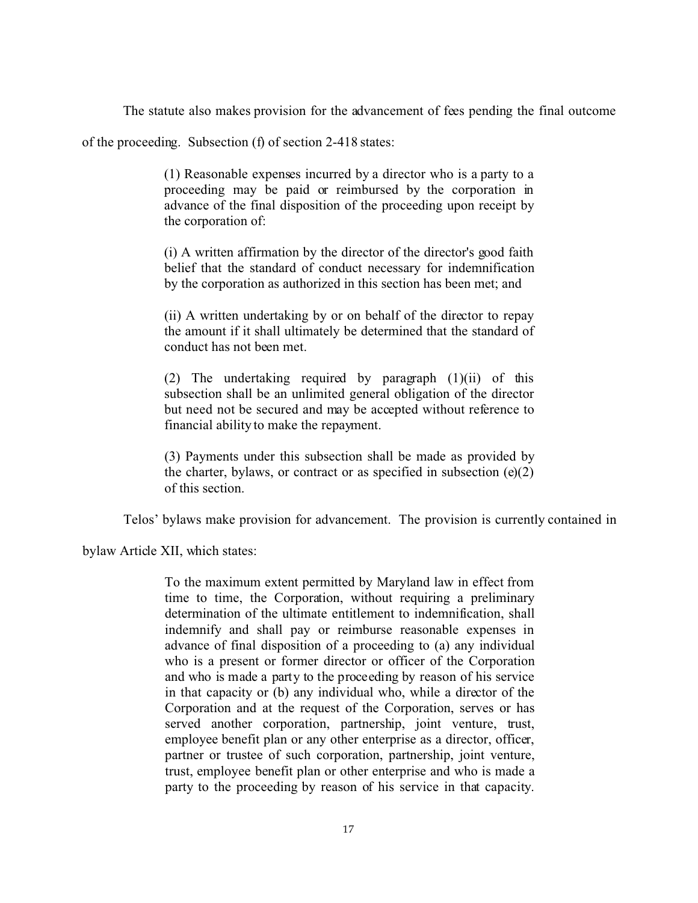The statute also makes provision for the advancement of fees pending the final outcome

of the proceeding. Subsection (f) of section 2-418 states:

(1) Reasonable expenses incurred by a director who is a party to a proceeding may be paid or reimbursed by the corporation in advance of the final disposition of the proceeding upon receipt by the corporation of:

(i) A written affirmation by the director of the director's good faith belief that the standard of conduct necessary for indemnification by the corporation as authorized in this section has been met; and

(ii) A written undertaking by or on behalf of the director to repay the amount if it shall ultimately be determined that the standard of conduct has not been met.

(2) The undertaking required by paragraph (1)(ii) of this subsection shall be an unlimited general obligation of the director but need not be secured and may be accepted without reference to financial ability to make the repayment.

(3) Payments under this subsection shall be made as provided by the charter, bylaws, or contract or as specified in subsection  $(e)(2)$ of this section.

Telos' bylaws make provision for advancement. The provision is currently contained in

bylaw Article XII, which states:

To the maximum extent permitted by Maryland law in effect from time to time, the Corporation, without requiring a preliminary determination of the ultimate entitlement to indemnification, shall indemnify and shall pay or reimburse reasonable expenses in advance of final disposition of a proceeding to (a) any individual who is a present or former director or officer of the Corporation and who is made a party to the proceeding by reason of his service in that capacity or (b) any individual who, while a director of the Corporation and at the request of the Corporation, serves or has served another corporation, partnership, joint venture, trust, employee benefit plan or any other enterprise as a director, officer, partner or trustee of such corporation, partnership, joint venture, trust, employee benefit plan or other enterprise and who is made a party to the proceeding by reason of his service in that capacity.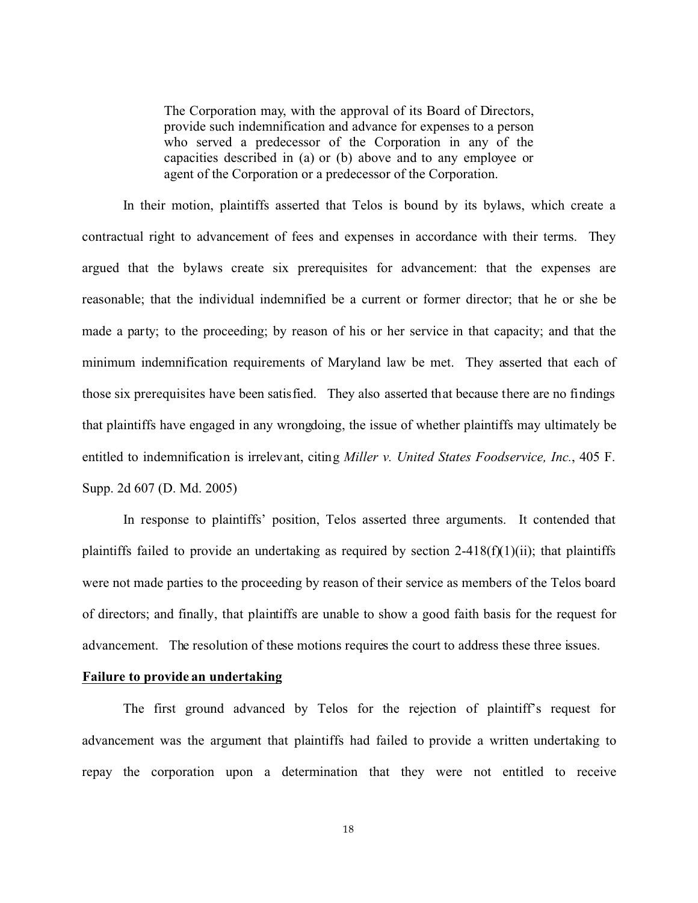The Corporation may, with the approval of its Board of Directors, provide such indemnification and advance for expenses to a person who served a predecessor of the Corporation in any of the capacities described in (a) or (b) above and to any employee or agent of the Corporation or a predecessor of the Corporation.

In their motion, plaintiffs asserted that Telos is bound by its bylaws, which create a contractual right to advancement of fees and expenses in accordance with their terms. They argued that the bylaws create six prerequisites for advancement: that the expenses are reasonable; that the individual indemnified be a current or former director; that he or she be made a party; to the proceeding; by reason of his or her service in that capacity; and that the minimum indemnification requirements of Maryland law be met. They asserted that each of those six prerequisites have been satisfied. They also asserted that because there are no findings that plaintiffs have engaged in any wrongdoing, the issue of whether plaintiffs may ultimately be entitled to indemnification is irrelevant, citing *Miller v. United States Foodservice, Inc.*, 405 F. Supp. 2d 607 (D. Md. 2005)

In response to plaintiffs' position, Telos asserted three arguments. It contended that plaintiffs failed to provide an undertaking as required by section  $2-418(f)(1)(ii)$ ; that plaintiffs were not made parties to the proceeding by reason of their service as members of the Telos board of directors; and finally, that plaintiffs are unable to show a good faith basis for the request for advancement. The resolution of these motions requires the court to address these three issues.

# **Failure to provide an undertaking**

The first ground advanced by Telos for the rejection of plaintiff's request for advancement was the argument that plaintiffs had failed to provide a written undertaking to repay the corporation upon a determination that they were not entitled to receive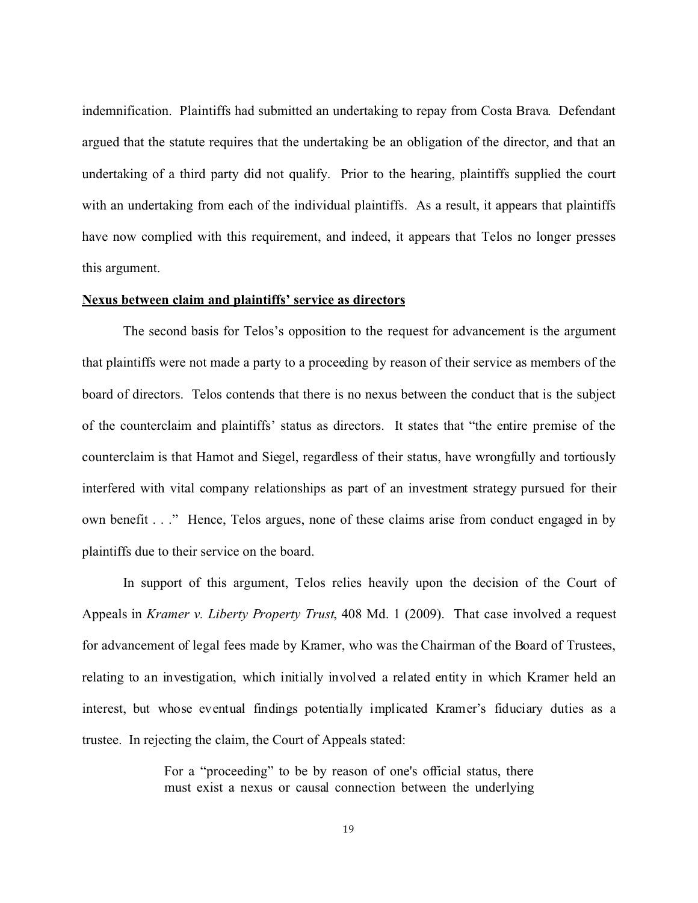indemnification. Plaintiffs had submitted an undertaking to repay from Costa Brava. Defendant argued that the statute requires that the undertaking be an obligation of the director, and that an undertaking of a third party did not qualify. Prior to the hearing, plaintiffs supplied the court with an undertaking from each of the individual plaintiffs. As a result, it appears that plaintiffs have now complied with this requirement, and indeed, it appears that Telos no longer presses this argument.

#### **Nexus between claim and plaintiffs' service as directors**

The second basis for Telos's opposition to the request for advancement is the argument that plaintiffs were not made a party to a proceeding by reason of their service as members of the board of directors. Telos contends that there is no nexus between the conduct that is the subject of the counterclaim and plaintiffs' status as directors. It states that "the entire premise of the counterclaim is that Hamot and Siegel, regardless of their status, have wrongfully and tortiously interfered with vital company relationships as part of an investment strategy pursued for their own benefit . . ." Hence, Telos argues, none of these claims arise from conduct engaged in by plaintiffs due to their service on the board.

In support of this argument, Telos relies heavily upon the decision of the Court of Appeals in *Kramer v. Liberty Property Trust*, 408 Md. 1 (2009). That case involved a request for advancement of legal fees made by Kramer, who was the Chairman of the Board of Trustees, relating to an investigation, which initially involved a related entity in which Kramer held an interest, but whose eventual findings potentially implicated Kramer's fiduciary duties as a trustee. In rejecting the claim, the Court of Appeals stated:

> For a "proceeding" to be by reason of one's official status, there must exist a nexus or causal connection between the underlying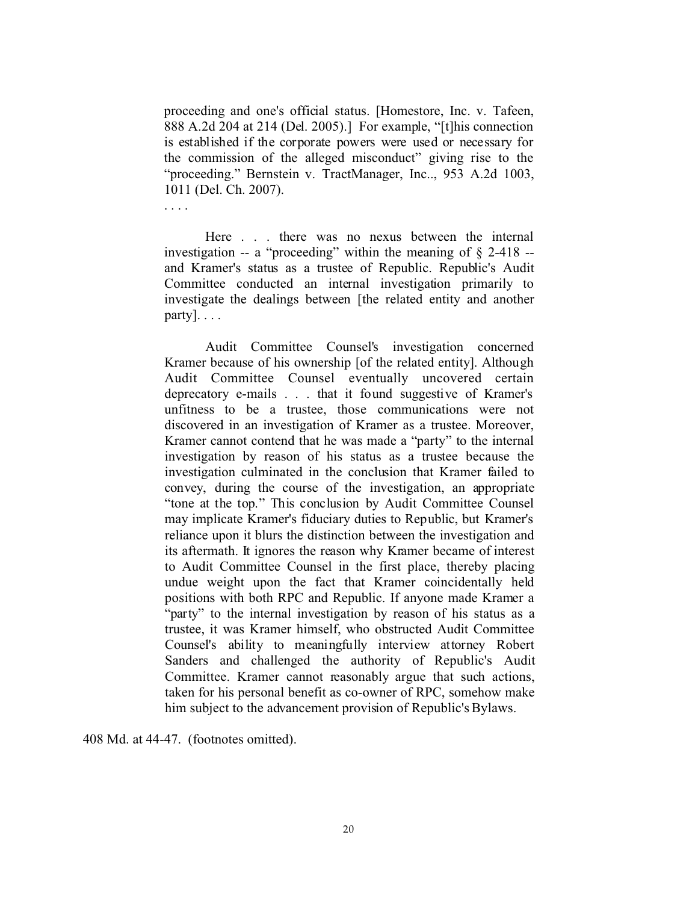proceeding and one's official status. [Homestore, Inc. v. Tafeen, 888 A.2d 204 at 214 (Del. 2005).] For example, "[t]his connection is established if the corporate powers were used or necessary for the commission of the alleged misconduct" giving rise to the "proceeding." Bernstein v. TractManager, Inc.., 953 A.2d 1003, 1011 (Del. Ch. 2007).

. . . .

Here . . . there was no nexus between the internal investigation -- a "proceeding" within the meaning of § 2-418 - and Kramer's status as a trustee of Republic. Republic's Audit Committee conducted an internal investigation primarily to investigate the dealings between [the related entity and another party]. . . .

Audit Committee Counsel's investigation concerned Kramer because of his ownership [of the related entity]. Although Audit Committee Counsel eventually uncovered certain deprecatory e-mails . . . that it found suggestive of Kramer's unfitness to be a trustee, those communications were not discovered in an investigation of Kramer as a trustee. Moreover, Kramer cannot contend that he was made a "party" to the internal investigation by reason of his status as a trustee because the investigation culminated in the conclusion that Kramer failed to convey, during the course of the investigation, an appropriate "tone at the top." This conclusion by Audit Committee Counsel may implicate Kramer's fiduciary duties to Republic, but Kramer's reliance upon it blurs the distinction between the investigation and its aftermath. It ignores the reason why Kramer became of interest to Audit Committee Counsel in the first place, thereby placing undue weight upon the fact that Kramer coincidentally held positions with both RPC and Republic. If anyone made Kramer a "party" to the internal investigation by reason of his status as a trustee, it was Kramer himself, who obstructed Audit Committee Counsel's ability to meaningfully interview attorney Robert Sanders and challenged the authority of Republic's Audit Committee. Kramer cannot reasonably argue that such actions, taken for his personal benefit as co-owner of RPC, somehow make him subject to the advancement provision of Republic's Bylaws.

408 Md. at 44-47. (footnotes omitted).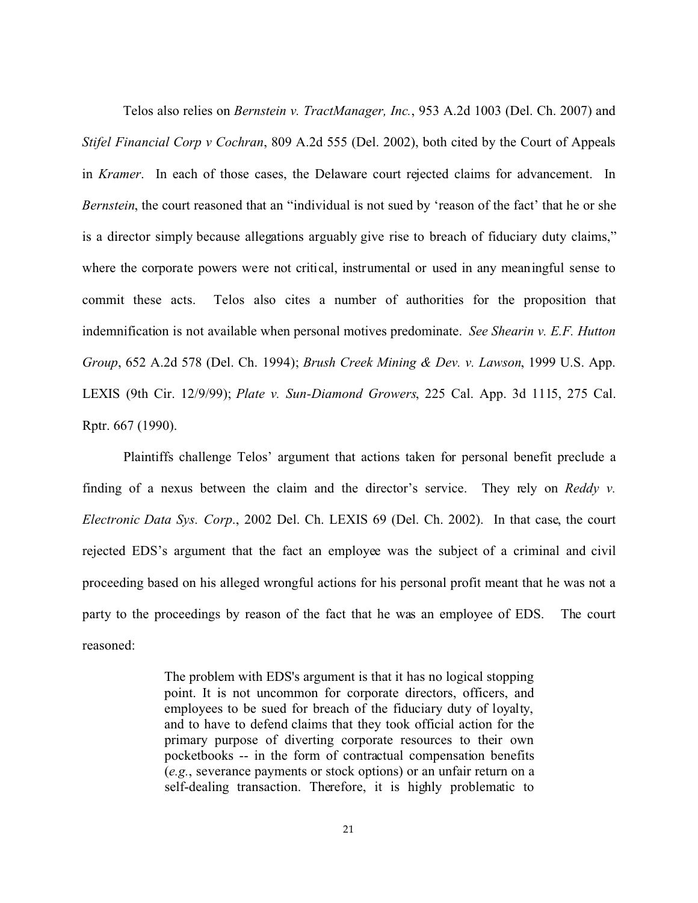Telos also relies on *Bernstein v. TractManager, Inc.*, 953 A.2d 1003 (Del. Ch. 2007) and *Stifel Financial Corp v Cochran*, 809 A.2d 555 (Del. 2002), both cited by the Court of Appeals in *Kramer*. In each of those cases, the Delaware court rejected claims for advancement. In *Bernstein*, the court reasoned that an "individual is not sued by 'reason of the fact' that he or she is a director simply because allegations arguably give rise to breach of fiduciary duty claims," where the corporate powers were not critical, instrumental or used in any meaningful sense to commit these acts. Telos also cites a number of authorities for the proposition that indemnification is not available when personal motives predominate. *See Shearin v. E.F. Hutton Group*, 652 A.2d 578 (Del. Ch. 1994); *Brush Creek Mining & Dev. v. Lawson*, 1999 U.S. App. LEXIS (9th Cir. 12/9/99); *Plate v. Sun-Diamond Growers*, 225 Cal. App. 3d 1115, 275 Cal. Rptr. 667 (1990).

Plaintiffs challenge Telos' argument that actions taken for personal benefit preclude a finding of a nexus between the claim and the director's service. They rely on *Reddy v. Electronic Data Sys. Corp*., 2002 Del. Ch. LEXIS 69 (Del. Ch. 2002). In that case, the court rejected EDS's argument that the fact an employee was the subject of a criminal and civil proceeding based on his alleged wrongful actions for his personal profit meant that he was not a party to the proceedings by reason of the fact that he was an employee of EDS. The court reasoned:

> The problem with EDS's argument is that it has no logical stopping point. It is not uncommon for corporate directors, officers, and employees to be sued for breach of the fiduciary duty of loyalty, and to have to defend claims that they took official action for the primary purpose of diverting corporate resources to their own pocketbooks -- in the form of contractual compensation benefits (*e.g.*, severance payments or stock options) or an unfair return on a self-dealing transaction. Therefore, it is highly problematic to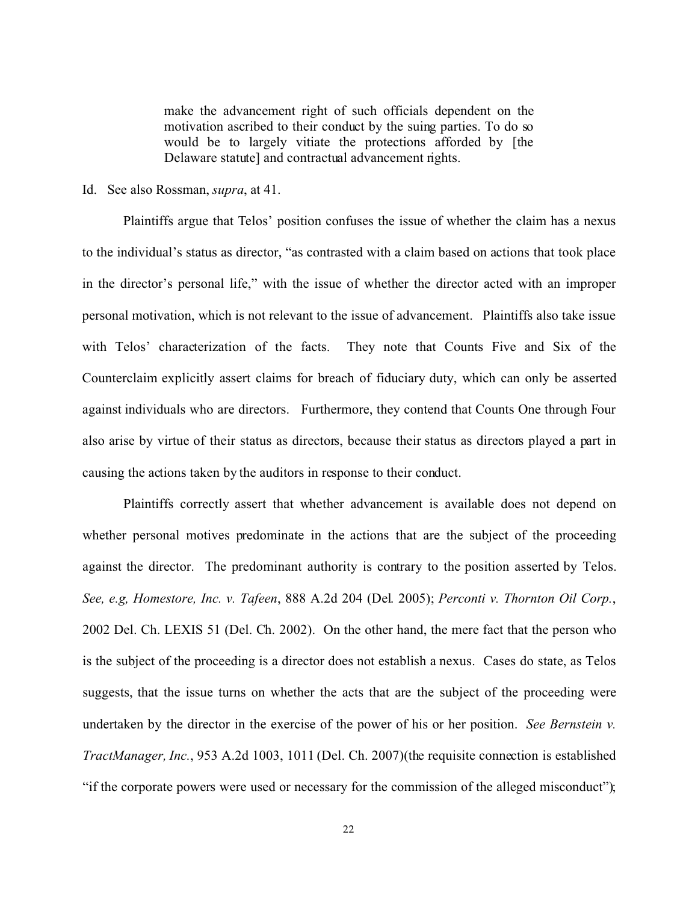make the advancement right of such officials dependent on the motivation ascribed to their conduct by the suing parties. To do so would be to largely vitiate the protections afforded by [the Delaware statute] and contractual advancement rights.

## Id. See also Rossman, *supra*, at 41.

Plaintiffs argue that Telos' position confuses the issue of whether the claim has a nexus to the individual's status as director, "as contrasted with a claim based on actions that took place in the director's personal life," with the issue of whether the director acted with an improper personal motivation, which is not relevant to the issue of advancement. Plaintiffs also take issue with Telos' characterization of the facts. They note that Counts Five and Six of the Counterclaim explicitly assert claims for breach of fiduciary duty, which can only be asserted against individuals who are directors. Furthermore, they contend that Counts One through Four also arise by virtue of their status as directors, because their status as directors played a part in causing the actions taken by the auditors in response to their conduct.

Plaintiffs correctly assert that whether advancement is available does not depend on whether personal motives predominate in the actions that are the subject of the proceeding against the director. The predominant authority is contrary to the position asserted by Telos. *See, e.g, Homestore, Inc. v. Tafeen*, 888 A.2d 204 (Del. 2005); *Perconti v. Thornton Oil Corp.*, 2002 Del. Ch. LEXIS 51 (Del. Ch. 2002). On the other hand, the mere fact that the person who is the subject of the proceeding is a director does not establish a nexus. Cases do state, as Telos suggests, that the issue turns on whether the acts that are the subject of the proceeding were undertaken by the director in the exercise of the power of his or her position. *See Bernstein v. TractManager, Inc.*, 953 A.2d 1003, 1011 (Del. Ch. 2007)(the requisite connection is established "if the corporate powers were used or necessary for the commission of the alleged misconduct");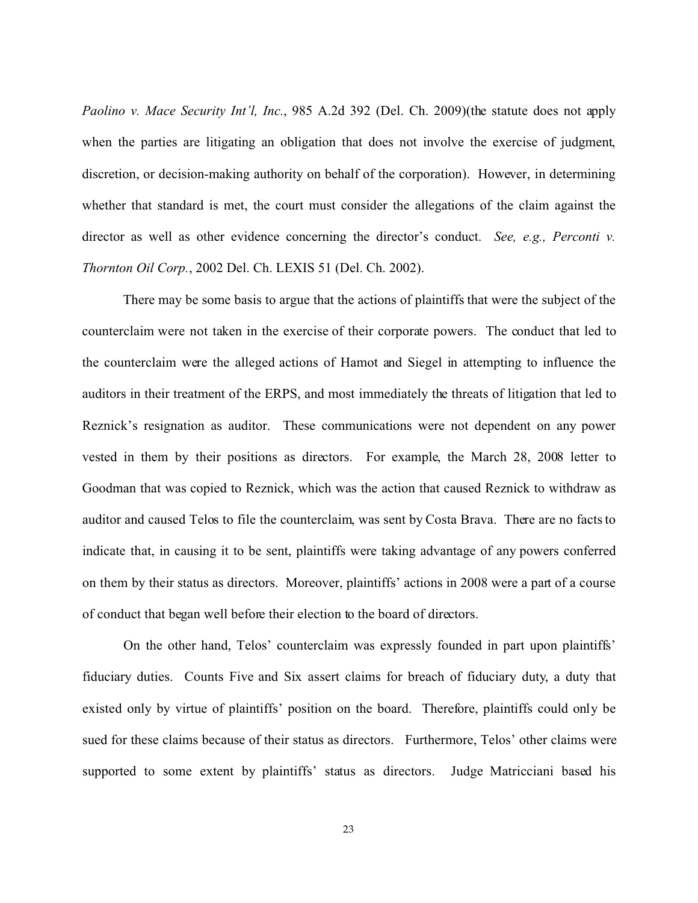*Paolino v. Mace Security Int'l, Inc.*, 985 A.2d 392 (Del. Ch. 2009)(the statute does not apply when the parties are litigating an obligation that does not involve the exercise of judgment, discretion, or decision-making authority on behalf of the corporation). However, in determining whether that standard is met, the court must consider the allegations of the claim against the director as well as other evidence concerning the director's conduct. *See, e.g., Perconti v. Thornton Oil Corp.*, 2002 Del. Ch. LEXIS 51 (Del. Ch. 2002).

There may be some basis to argue that the actions of plaintiffs that were the subject of the counterclaim were not taken in the exercise of their corporate powers. The conduct that led to the counterclaim were the alleged actions of Hamot and Siegel in attempting to influence the auditors in their treatment of the ERPS, and most immediately the threats of litigation that led to Reznick's resignation as auditor. These communications were not dependent on any power vested in them by their positions as directors. For example, the March 28, 2008 letter to Goodman that was copied to Reznick, which was the action that caused Reznick to withdraw as auditor and caused Telos to file the counterclaim, was sent by Costa Brava. There are no facts to indicate that, in causing it to be sent, plaintiffs were taking advantage of any powers conferred on them by their status as directors. Moreover, plaintiffs' actions in 2008 were a part of a course of conduct that began well before their election to the board of directors.

On the other hand, Telos' counterclaim was expressly founded in part upon plaintiffs' fiduciary duties. Counts Five and Six assert claims for breach of fiduciary duty, a duty that existed only by virtue of plaintiffs' position on the board. Therefore, plaintiffs could only be sued for these claims because of their status as directors. Furthermore, Telos' other claims were supported to some extent by plaintiffs' status as directors. Judge Matricciani based his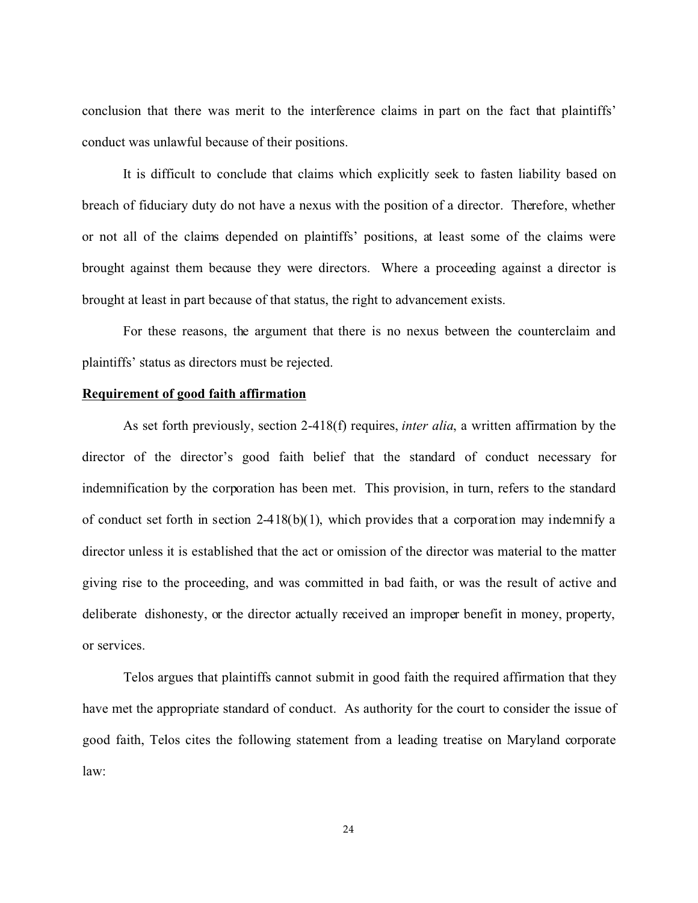conclusion that there was merit to the interference claims in part on the fact that plaintiffs' conduct was unlawful because of their positions.

It is difficult to conclude that claims which explicitly seek to fasten liability based on breach of fiduciary duty do not have a nexus with the position of a director. Therefore, whether or not all of the claims depended on plaintiffs' positions, at least some of the claims were brought against them because they were directors. Where a proceeding against a director is brought at least in part because of that status, the right to advancement exists.

For these reasons, the argument that there is no nexus between the counterclaim and plaintiffs' status as directors must be rejected.

## **Requirement of good faith affirmation**

As set forth previously, section 2-418(f) requires, *inter alia*, a written affirmation by the director of the director's good faith belief that the standard of conduct necessary for indemnification by the corporation has been met. This provision, in turn, refers to the standard of conduct set forth in section 2-418(b)(1), which provides that a corporation may indemnify a director unless it is established that the act or omission of the director was material to the matter giving rise to the proceeding, and was committed in bad faith, or was the result of active and deliberate dishonesty, or the director actually received an improper benefit in money, property, or services.

Telos argues that plaintiffs cannot submit in good faith the required affirmation that they have met the appropriate standard of conduct. As authority for the court to consider the issue of good faith, Telos cites the following statement from a leading treatise on Maryland corporate law: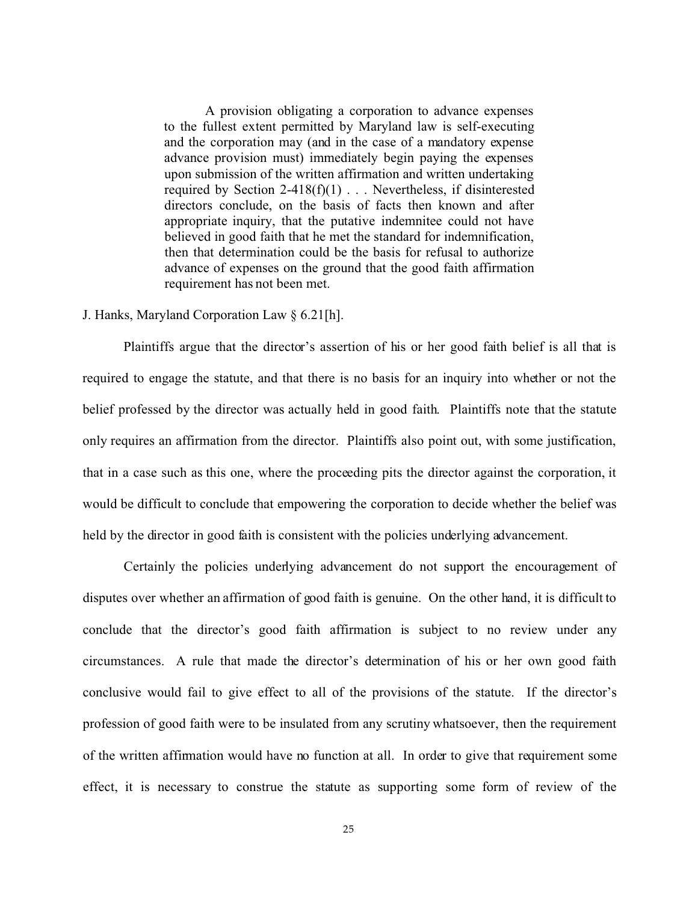A provision obligating a corporation to advance expenses to the fullest extent permitted by Maryland law is self-executing and the corporation may (and in the case of a mandatory expense advance provision must) immediately begin paying the expenses upon submission of the written affirmation and written undertaking required by Section 2-418(f)(1) . . . Nevertheless, if disinterested directors conclude, on the basis of facts then known and after appropriate inquiry, that the putative indemnitee could not have believed in good faith that he met the standard for indemnification, then that determination could be the basis for refusal to authorize advance of expenses on the ground that the good faith affirmation requirement has not been met.

#### J. Hanks, Maryland Corporation Law § 6.21[h].

Plaintiffs argue that the director's assertion of his or her good faith belief is all that is required to engage the statute, and that there is no basis for an inquiry into whether or not the belief professed by the director was actually held in good faith. Plaintiffs note that the statute only requires an affirmation from the director. Plaintiffs also point out, with some justification, that in a case such as this one, where the proceeding pits the director against the corporation, it would be difficult to conclude that empowering the corporation to decide whether the belief was held by the director in good faith is consistent with the policies underlying advancement.

Certainly the policies underlying advancement do not support the encouragement of disputes over whether an affirmation of good faith is genuine. On the other hand, it is difficult to conclude that the director's good faith affirmation is subject to no review under any circumstances. A rule that made the director's determination of his or her own good faith conclusive would fail to give effect to all of the provisions of the statute. If the director's profession of good faith were to be insulated from any scrutiny whatsoever, then the requirement of the written affirmation would have no function at all. In order to give that requirement some effect, it is necessary to construe the statute as supporting some form of review of the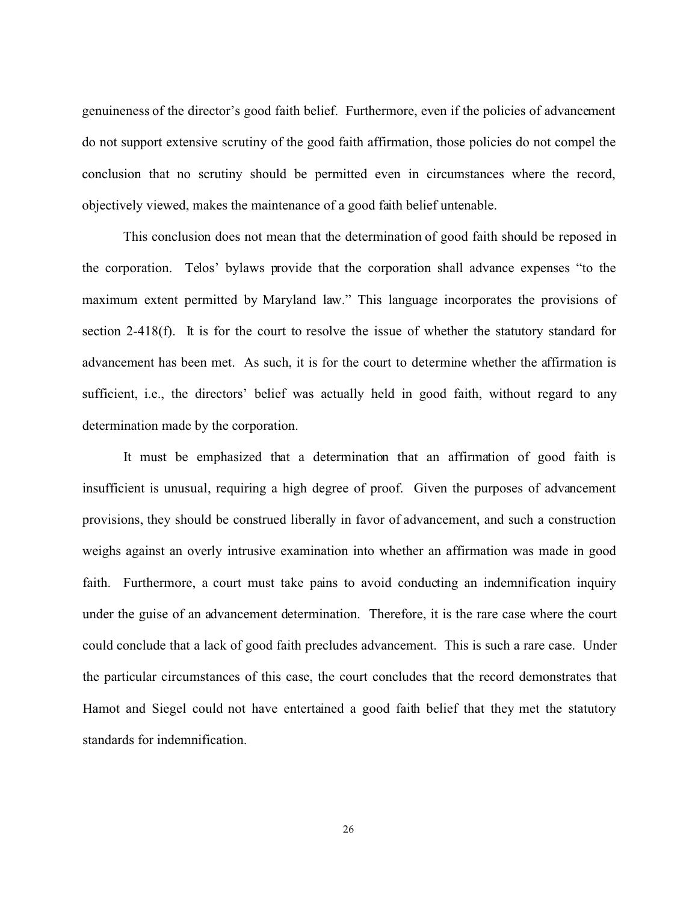genuineness of the director's good faith belief. Furthermore, even if the policies of advancement do not support extensive scrutiny of the good faith affirmation, those policies do not compel the conclusion that no scrutiny should be permitted even in circumstances where the record, objectively viewed, makes the maintenance of a good faith belief untenable.

This conclusion does not mean that the determination of good faith should be reposed in the corporation. Telos' bylaws provide that the corporation shall advance expenses "to the maximum extent permitted by Maryland law." This language incorporates the provisions of section 2-418(f). It is for the court to resolve the issue of whether the statutory standard for advancement has been met. As such, it is for the court to determine whether the affirmation is sufficient, i.e., the directors' belief was actually held in good faith, without regard to any determination made by the corporation.

It must be emphasized that a determination that an affirmation of good faith is insufficient is unusual, requiring a high degree of proof. Given the purposes of advancement provisions, they should be construed liberally in favor of advancement, and such a construction weighs against an overly intrusive examination into whether an affirmation was made in good faith. Furthermore, a court must take pains to avoid conducting an indemnification inquiry under the guise of an advancement determination. Therefore, it is the rare case where the court could conclude that a lack of good faith precludes advancement. This is such a rare case. Under the particular circumstances of this case, the court concludes that the record demonstrates that Hamot and Siegel could not have entertained a good faith belief that they met the statutory standards for indemnification.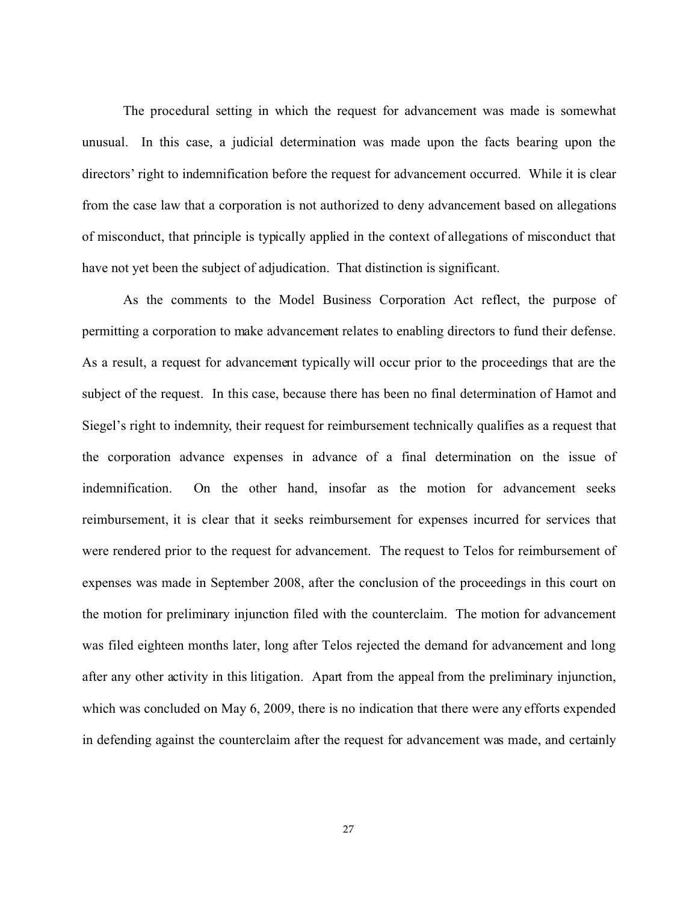The procedural setting in which the request for advancement was made is somewhat unusual. In this case, a judicial determination was made upon the facts bearing upon the directors' right to indemnification before the request for advancement occurred. While it is clear from the case law that a corporation is not authorized to deny advancement based on allegations of misconduct, that principle is typically applied in the context of allegations of misconduct that have not yet been the subject of adjudication. That distinction is significant.

As the comments to the Model Business Corporation Act reflect, the purpose of permitting a corporation to make advancement relates to enabling directors to fund their defense. As a result, a request for advancement typically will occur prior to the proceedings that are the subject of the request. In this case, because there has been no final determination of Hamot and Siegel's right to indemnity, their request for reimbursement technically qualifies as a request that the corporation advance expenses in advance of a final determination on the issue of indemnification. On the other hand, insofar as the motion for advancement seeks reimbursement, it is clear that it seeks reimbursement for expenses incurred for services that were rendered prior to the request for advancement. The request to Telos for reimbursement of expenses was made in September 2008, after the conclusion of the proceedings in this court on the motion for preliminary injunction filed with the counterclaim. The motion for advancement was filed eighteen months later, long after Telos rejected the demand for advancement and long after any other activity in this litigation. Apart from the appeal from the preliminary injunction, which was concluded on May 6, 2009, there is no indication that there were any efforts expended in defending against the counterclaim after the request for advancement was made, and certainly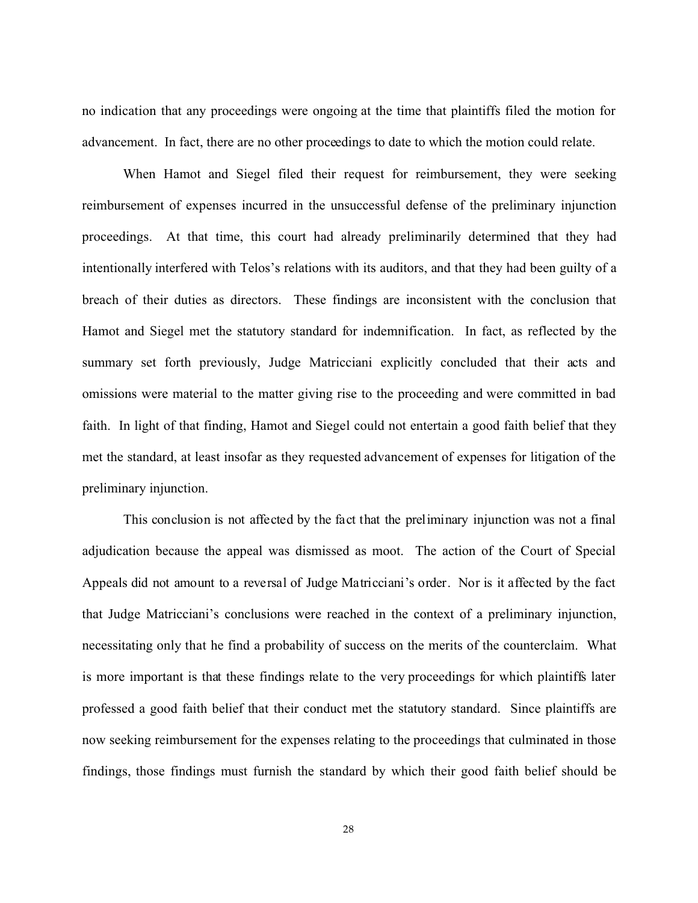no indication that any proceedings were ongoing at the time that plaintiffs filed the motion for advancement. In fact, there are no other proceedings to date to which the motion could relate.

When Hamot and Siegel filed their request for reimbursement, they were seeking reimbursement of expenses incurred in the unsuccessful defense of the preliminary injunction proceedings. At that time, this court had already preliminarily determined that they had intentionally interfered with Telos's relations with its auditors, and that they had been guilty of a breach of their duties as directors. These findings are inconsistent with the conclusion that Hamot and Siegel met the statutory standard for indemnification. In fact, as reflected by the summary set forth previously, Judge Matricciani explicitly concluded that their acts and omissions were material to the matter giving rise to the proceeding and were committed in bad faith. In light of that finding, Hamot and Siegel could not entertain a good faith belief that they met the standard, at least insofar as they requested advancement of expenses for litigation of the preliminary injunction.

This conclusion is not affected by the fact that the preliminary injunction was not a final adjudication because the appeal was dismissed as moot. The action of the Court of Special Appeals did not amount to a reversal of Judge Matricciani's order. Nor is it affected by the fact that Judge Matricciani's conclusions were reached in the context of a preliminary injunction, necessitating only that he find a probability of success on the merits of the counterclaim. What is more important is that these findings relate to the very proceedings for which plaintiffs later professed a good faith belief that their conduct met the statutory standard. Since plaintiffs are now seeking reimbursement for the expenses relating to the proceedings that culminated in those findings, those findings must furnish the standard by which their good faith belief should be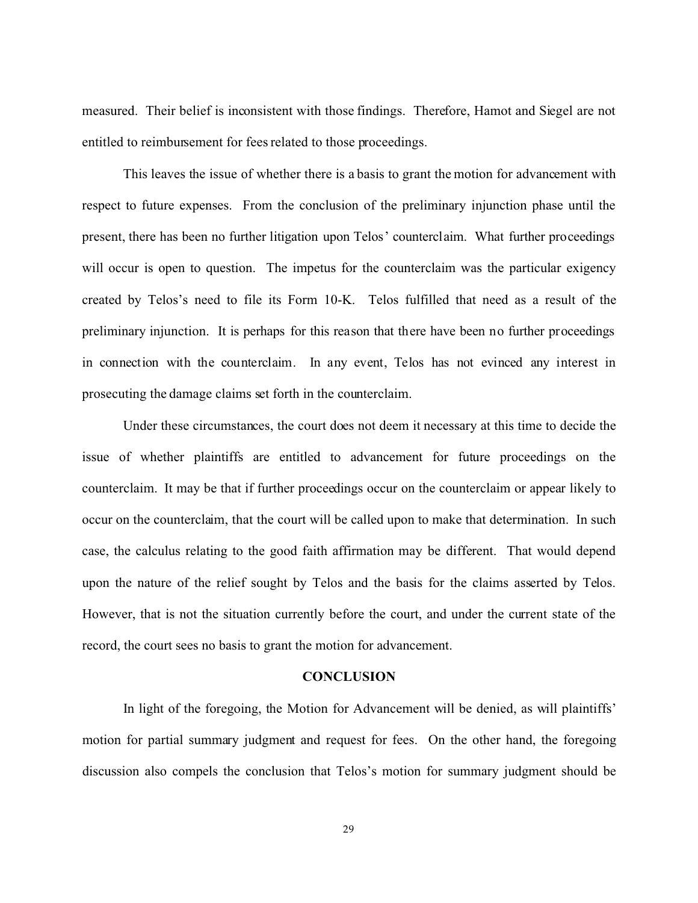measured. Their belief is inconsistent with those findings. Therefore, Hamot and Siegel are not entitled to reimbursement for fees related to those proceedings.

This leaves the issue of whether there is a basis to grant the motion for advancement with respect to future expenses. From the conclusion of the preliminary injunction phase until the present, there has been no further litigation upon Telos' counterclaim. What further proceedings will occur is open to question. The impetus for the counterclaim was the particular exigency created by Telos's need to file its Form 10-K. Telos fulfilled that need as a result of the preliminary injunction. It is perhaps for this reason that there have been no further proceedings in connection with the counterclaim. In any event, Telos has not evinced any interest in prosecuting the damage claims set forth in the counterclaim.

Under these circumstances, the court does not deem it necessary at this time to decide the issue of whether plaintiffs are entitled to advancement for future proceedings on the counterclaim. It may be that if further proceedings occur on the counterclaim or appear likely to occur on the counterclaim, that the court will be called upon to make that determination. In such case, the calculus relating to the good faith affirmation may be different. That would depend upon the nature of the relief sought by Telos and the basis for the claims asserted by Telos. However, that is not the situation currently before the court, and under the current state of the record, the court sees no basis to grant the motion for advancement.

#### **CONCLUSION**

In light of the foregoing, the Motion for Advancement will be denied, as will plaintiffs' motion for partial summary judgment and request for fees. On the other hand, the foregoing discussion also compels the conclusion that Telos's motion for summary judgment should be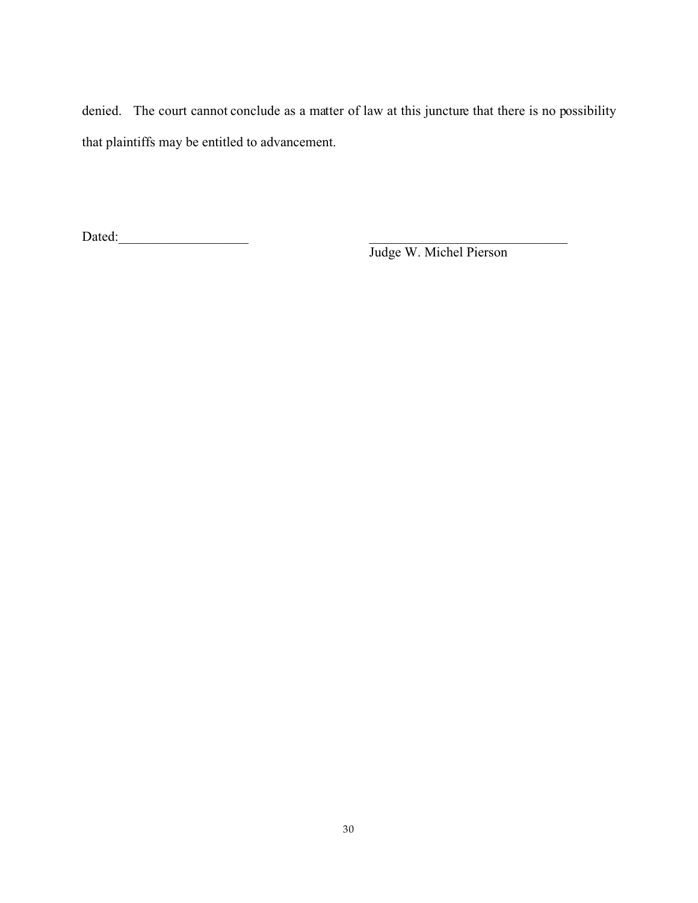denied. The court cannot conclude as a matter of law at this juncture that there is no possibility that plaintiffs may be entitled to advancement.

Dated:\_\_\_\_\_\_\_\_\_\_\_\_\_\_\_\_\_\_\_ \_\_\_\_\_\_\_\_\_\_\_\_\_\_\_\_\_\_\_\_\_\_\_\_\_\_\_\_\_

Judge W. Michel Pierson